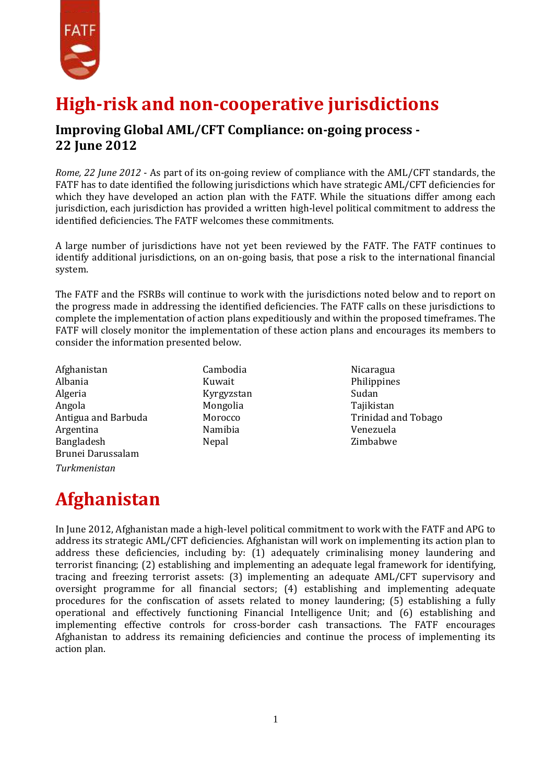

#### **High-risk and non-cooperative jurisdictions**

#### **Improving Global AML/CFT Compliance: on-going process - 22 June 2012**

*Rome, 22 June 2012* - As part of its on-going review of compliance with the AML/CFT standards, the FATF has to date identified the following jurisdictions which have strategic AML/CFT deficiencies for which they have developed an action plan with the FATF. While the situations differ among each jurisdiction, each jurisdiction has provided a written high-level political commitment to address the identified deficiencies. The FATF welcomes these commitments.

A large number of jurisdictions have not yet been reviewed by the FATF. The FATF continues to identify additional jurisdictions, on an on-going basis, that pose a risk to the international financial system.

The FATF and the FSRBs will continue to work with the jurisdictions noted below and to report on the progress made in addressing the identified deficiencies. The FATF calls on these jurisdictions to complete the implementation of action plans expeditiously and within the proposed timeframes. The FATF will closely monitor the implementation of these action plans and encourages its members to consider the information presented below.

Afghanistan Albania Algeria Angola Antigua and Barbuda Argentina Bangladesh Brunei Darussalam *Turkmenistan*

Cambodia Kuwait Kyrgyzstan Mongolia Morocco Namibia Nepal

Nicaragua Philippines Sudan Tajikistan Trinidad and Tobago Venezuela Zimbabwe

## **Afghanistan**

In June 2012, Afghanistan made a high-level political commitment to work with the FATF and APG to address its strategic AML/CFT deficiencies. Afghanistan will work on implementing its action plan to address these deficiencies, including by: (1) adequately criminalising money laundering and terrorist financing; (2) establishing and implementing an adequate legal framework for identifying, tracing and freezing terrorist assets: (3) implementing an adequate AML/CFT supervisory and oversight programme for all financial sectors; (4) establishing and implementing adequate procedures for the confiscation of assets related to money laundering; (5) establishing a fully operational and effectively functioning Financial Intelligence Unit; and (6) establishing and implementing effective controls for cross-border cash transactions. The FATF encourages Afghanistan to address its remaining deficiencies and continue the process of implementing its action plan.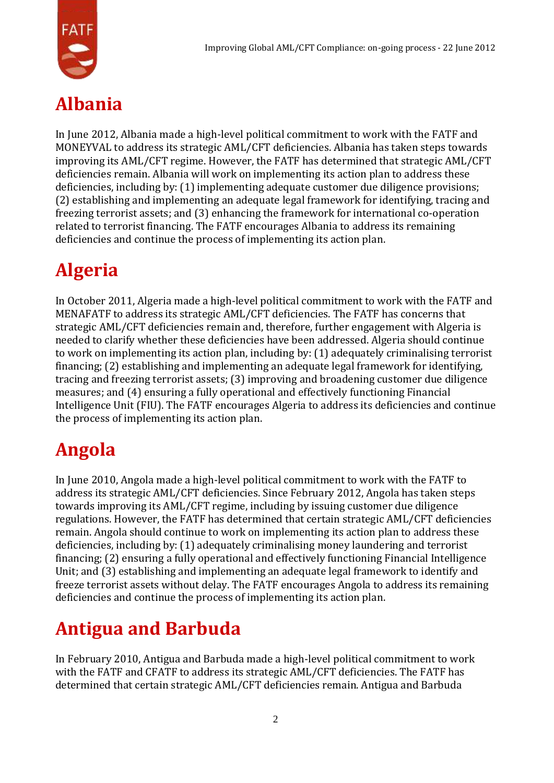

## **Albania**

In June 2012, Albania made a high-level political commitment to work with the FATF and MONEYVAL to address its strategic AML/CFT deficiencies. Albania has taken steps towards improving its AML/CFT regime. However, the FATF has determined that strategic AML/CFT deficiencies remain. Albania will work on implementing its action plan to address these deficiencies, including by: (1) implementing adequate customer due diligence provisions; (2) establishing and implementing an adequate legal framework for identifying, tracing and freezing terrorist assets; and (3) enhancing the framework for international co-operation related to terrorist financing. The FATF encourages Albania to address its remaining deficiencies and continue the process of implementing its action plan.

# **Algeria**

In October 2011, Algeria made a high-level political commitment to work with the FATF and MENAFATF to address its strategic AML/CFT deficiencies. The FATF has concerns that strategic AML/CFT deficiencies remain and, therefore, further engagement with Algeria is needed to clarify whether these deficiencies have been addressed. Algeria should continue to work on implementing its action plan, including by: (1) adequately criminalising terrorist financing; (2) establishing and implementing an adequate legal framework for identifying, tracing and freezing terrorist assets; (3) improving and broadening customer due diligence measures; and (4) ensuring a fully operational and effectively functioning Financial Intelligence Unit (FIU). The FATF encourages Algeria to address its deficiencies and continue the process of implementing its action plan.

## **Angola**

In June 2010, Angola made a high-level political commitment to work with the FATF to address its strategic AML/CFT deficiencies. Since February 2012, Angola has taken steps towards improving its AML/CFT regime, including by issuing customer due diligence regulations. However, the FATF has determined that certain strategic AML/CFT deficiencies remain. Angola should continue to work on implementing its action plan to address these deficiencies, including by: (1) adequately criminalising money laundering and terrorist financing; (2) ensuring a fully operational and effectively functioning Financial Intelligence Unit; and (3) establishing and implementing an adequate legal framework to identify and freeze terrorist assets without delay. The FATF encourages Angola to address its remaining deficiencies and continue the process of implementing its action plan.

## **Antigua and Barbuda**

In February 2010, Antigua and Barbuda made a high-level political commitment to work with the FATF and CFATF to address its strategic AML/CFT deficiencies. The FATF has determined that certain strategic AML/CFT deficiencies remain. Antigua and Barbuda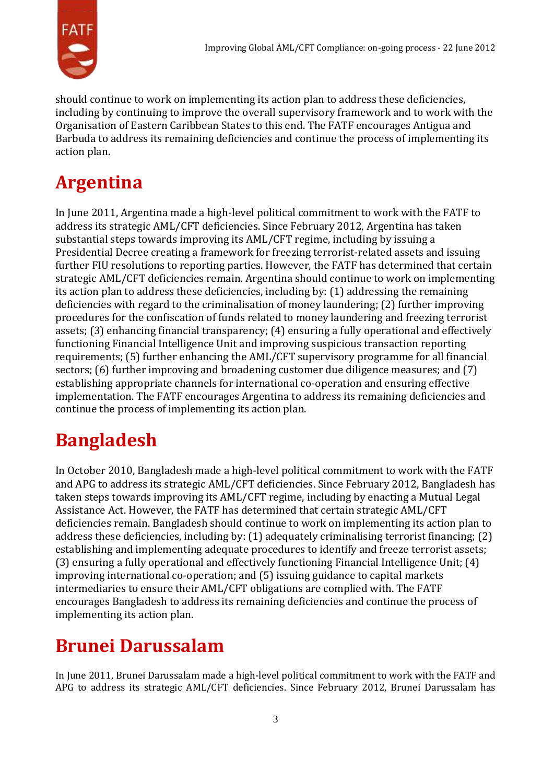

should continue to work on implementing its action plan to address these deficiencies, including by continuing to improve the overall supervisory framework and to work with the Organisation of Eastern Caribbean States to this end. The FATF encourages Antigua and Barbuda to address its remaining deficiencies and continue the process of implementing its action plan.

## **Argentina**

In June 2011, Argentina made a high-level political commitment to work with the FATF to address its strategic AML/CFT deficiencies. Since February 2012, Argentina has taken substantial steps towards improving its AML/CFT regime, including by issuing a Presidential Decree creating a framework for freezing terrorist-related assets and issuing further FIU resolutions to reporting parties. However, the FATF has determined that certain strategic AML/CFT deficiencies remain. Argentina should continue to work on implementing its action plan to address these deficiencies, including by: (1) addressing the remaining deficiencies with regard to the criminalisation of money laundering; (2) further improving procedures for the confiscation of funds related to money laundering and freezing terrorist assets; (3) enhancing financial transparency; (4) ensuring a fully operational and effectively functioning Financial Intelligence Unit and improving suspicious transaction reporting requirements; (5) further enhancing the AML/CFT supervisory programme for all financial sectors; (6) further improving and broadening customer due diligence measures; and (7) establishing appropriate channels for international co-operation and ensuring effective implementation. The FATF encourages Argentina to address its remaining deficiencies and continue the process of implementing its action plan.

## **Bangladesh**

In October 2010, Bangladesh made a high-level political commitment to work with the FATF and APG to address its strategic AML/CFT deficiencies. Since February 2012, Bangladesh has taken steps towards improving its AML/CFT regime, including by enacting a Mutual Legal Assistance Act. However, the FATF has determined that certain strategic AML/CFT deficiencies remain. Bangladesh should continue to work on implementing its action plan to address these deficiencies, including by: (1) adequately criminalising terrorist financing; (2) establishing and implementing adequate procedures to identify and freeze terrorist assets; (3) ensuring a fully operational and effectively functioning Financial Intelligence Unit; (4) improving international co-operation; and (5) issuing guidance to capital markets intermediaries to ensure their AML/CFT obligations are complied with. The FATF encourages Bangladesh to address its remaining deficiencies and continue the process of implementing its action plan.

## **Brunei Darussalam**

In June 2011, Brunei Darussalam made a high-level political commitment to work with the FATF and APG to address its strategic AML/CFT deficiencies. Since February 2012, Brunei Darussalam has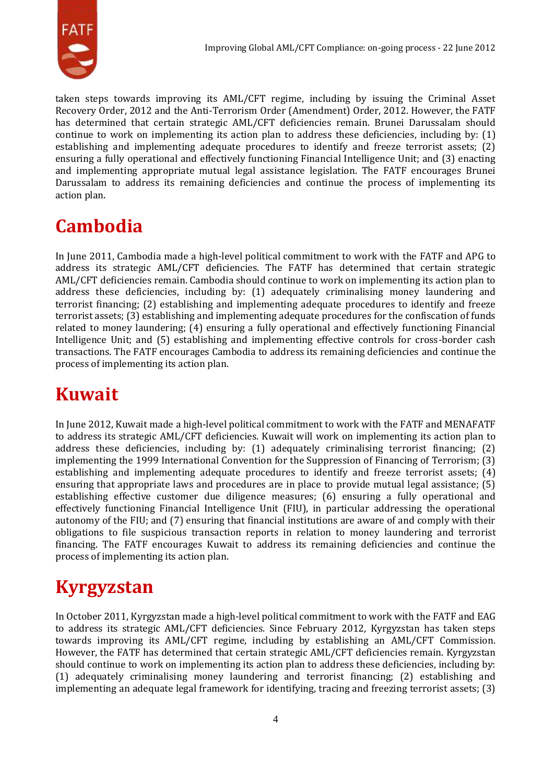

taken steps towards improving its AML/CFT regime, including by issuing the Criminal Asset Recovery Order, 2012 and the Anti-Terrorism Order (Amendment) Order, 2012. However, the FATF has determined that certain strategic AML/CFT deficiencies remain. Brunei Darussalam should continue to work on implementing its action plan to address these deficiencies, including by: (1) establishing and implementing adequate procedures to identify and freeze terrorist assets; (2) ensuring a fully operational and effectively functioning Financial Intelligence Unit; and (3) enacting and implementing appropriate mutual legal assistance legislation. The FATF encourages Brunei Darussalam to address its remaining deficiencies and continue the process of implementing its action plan.

## **Cambodia**

In June 2011, Cambodia made a high-level political commitment to work with the FATF and APG to address its strategic AML/CFT deficiencies. The FATF has determined that certain strategic AML/CFT deficiencies remain. Cambodia should continue to work on implementing its action plan to address these deficiencies, including by: (1) adequately criminalising money laundering and terrorist financing; (2) establishing and implementing adequate procedures to identify and freeze terrorist assets; (3) establishing and implementing adequate procedures for the confiscation of funds related to money laundering; (4) ensuring a fully operational and effectively functioning Financial Intelligence Unit; and (5) establishing and implementing effective controls for cross-border cash transactions. The FATF encourages Cambodia to address its remaining deficiencies and continue the process of implementing its action plan.

#### **Kuwait**

In June 2012, Kuwait made a high-level political commitment to work with the FATF and MENAFATF to address its strategic AML/CFT deficiencies. Kuwait will work on implementing its action plan to address these deficiencies, including by: (1) adequately criminalising terrorist financing; (2) implementing the 1999 International Convention for the Suppression of Financing of Terrorism; (3) establishing and implementing adequate procedures to identify and freeze terrorist assets; (4) ensuring that appropriate laws and procedures are in place to provide mutual legal assistance; (5) establishing effective customer due diligence measures; (6) ensuring a fully operational and effectively functioning Financial Intelligence Unit (FIU), in particular addressing the operational autonomy of the FIU; and (7) ensuring that financial institutions are aware of and comply with their obligations to file suspicious transaction reports in relation to money laundering and terrorist financing. The FATF encourages Kuwait to address its remaining deficiencies and continue the process of implementing its action plan.

## **Kyrgyzstan**

In October 2011, Kyrgyzstan made a high-level political commitment to work with the FATF and EAG to address its strategic AML/CFT deficiencies. Since February 2012, Kyrgyzstan has taken steps towards improving its AML/CFT regime, including by establishing an AML/CFT Commission. However, the FATF has determined that certain strategic AML/CFT deficiencies remain. Kyrgyzstan should continue to work on implementing its action plan to address these deficiencies, including by: (1) adequately criminalising money laundering and terrorist financing; (2) establishing and implementing an adequate legal framework for identifying, tracing and freezing terrorist assets; (3)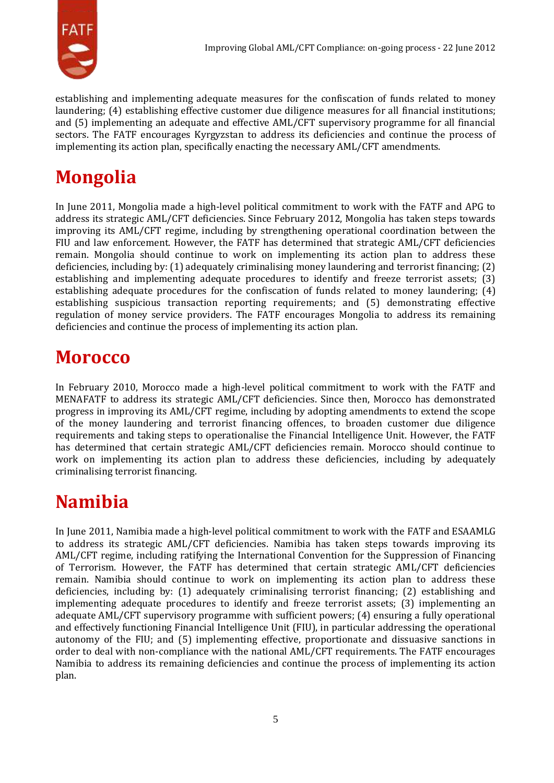

establishing and implementing adequate measures for the confiscation of funds related to money laundering; (4) establishing effective customer due diligence measures for all financial institutions; and (5) implementing an adequate and effective AML/CFT supervisory programme for all financial sectors. The FATF encourages Kyrgyzstan to address its deficiencies and continue the process of implementing its action plan, specifically enacting the necessary AML/CFT amendments.

## **Mongolia**

In June 2011, Mongolia made a high-level political commitment to work with the FATF and APG to address its strategic AML/CFT deficiencies. Since February 2012, Mongolia has taken steps towards improving its AML/CFT regime, including by strengthening operational coordination between the FIU and law enforcement. However, the FATF has determined that strategic AML/CFT deficiencies remain. Mongolia should continue to work on implementing its action plan to address these deficiencies, including by: (1) adequately criminalising money laundering and terrorist financing; (2) establishing and implementing adequate procedures to identify and freeze terrorist assets; (3) establishing adequate procedures for the confiscation of funds related to money laundering; (4) establishing suspicious transaction reporting requirements; and (5) demonstrating effective regulation of money service providers. The FATF encourages Mongolia to address its remaining deficiencies and continue the process of implementing its action plan.

## **Morocco**

In February 2010, Morocco made a high-level political commitment to work with the FATF and MENAFATF to address its strategic AML/CFT deficiencies. Since then, Morocco has demonstrated progress in improving its AML/CFT regime, including by adopting amendments to extend the scope of the money laundering and terrorist financing offences, to broaden customer due diligence requirements and taking steps to operationalise the Financial Intelligence Unit. However, the FATF has determined that certain strategic AML/CFT deficiencies remain. Morocco should continue to work on implementing its action plan to address these deficiencies, including by adequately criminalising terrorist financing.

## **Namibia**

In June 2011, Namibia made a high-level political commitment to work with the FATF and ESAAMLG to address its strategic AML/CFT deficiencies. Namibia has taken steps towards improving its AML/CFT regime, including ratifying the International Convention for the Suppression of Financing of Terrorism. However, the FATF has determined that certain strategic AML/CFT deficiencies remain. Namibia should continue to work on implementing its action plan to address these deficiencies, including by: (1) adequately criminalising terrorist financing; (2) establishing and implementing adequate procedures to identify and freeze terrorist assets; (3) implementing an adequate AML/CFT supervisory programme with sufficient powers; (4) ensuring a fully operational and effectively functioning Financial Intelligence Unit (FIU), in particular addressing the operational autonomy of the FIU; and (5) implementing effective, proportionate and dissuasive sanctions in order to deal with non-compliance with the national AML/CFT requirements. The FATF encourages Namibia to address its remaining deficiencies and continue the process of implementing its action plan.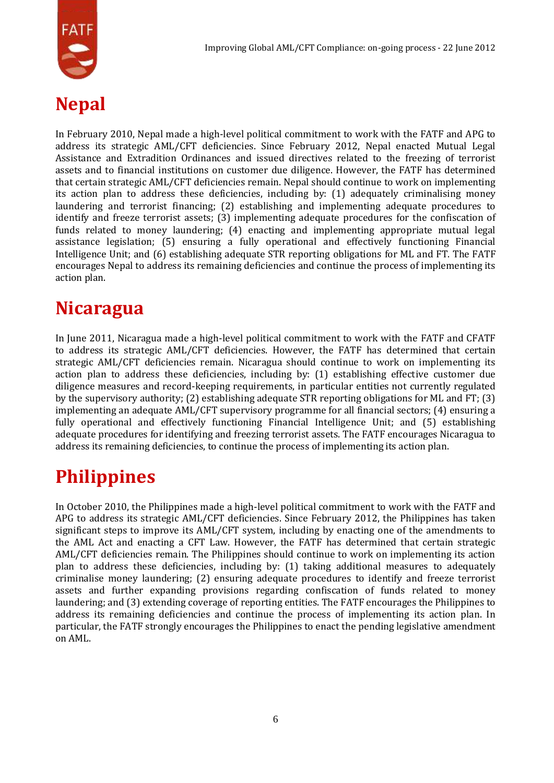

#### **Nepal**

In February 2010, Nepal made a high-level political commitment to work with the FATF and APG to address its strategic AML/CFT deficiencies. Since February 2012, Nepal enacted Mutual Legal Assistance and Extradition Ordinances and issued directives related to the freezing of terrorist assets and to financial institutions on customer due diligence. However, the FATF has determined that certain strategic AML/CFT deficiencies remain. Nepal should continue to work on implementing its action plan to address these deficiencies, including by: (1) adequately criminalising money laundering and terrorist financing; (2) establishing and implementing adequate procedures to identify and freeze terrorist assets; (3) implementing adequate procedures for the confiscation of funds related to money laundering; (4) enacting and implementing appropriate mutual legal assistance legislation; (5) ensuring a fully operational and effectively functioning Financial Intelligence Unit; and (6) establishing adequate STR reporting obligations for ML and FT. The FATF encourages Nepal to address its remaining deficiencies and continue the process of implementing its action plan.

#### **Nicaragua**

In June 2011, Nicaragua made a high-level political commitment to work with the FATF and CFATF to address its strategic AML/CFT deficiencies. However, the FATF has determined that certain strategic AML/CFT deficiencies remain. Nicaragua should continue to work on implementing its action plan to address these deficiencies, including by: (1) establishing effective customer due diligence measures and record-keeping requirements, in particular entities not currently regulated by the supervisory authority; (2) establishing adequate STR reporting obligations for ML and FT; (3) implementing an adequate AML/CFT supervisory programme for all financial sectors; (4) ensuring a fully operational and effectively functioning Financial Intelligence Unit; and (5) establishing adequate procedures for identifying and freezing terrorist assets. The FATF encourages Nicaragua to address its remaining deficiencies, to continue the process of implementing its action plan.

## **Philippines**

In October 2010, the Philippines made a high-level political commitment to work with the FATF and APG to address its strategic AML/CFT deficiencies. Since February 2012, the Philippines has taken significant steps to improve its AML/CFT system, including by enacting one of the amendments to the AML Act and enacting a CFT Law. However, the FATF has determined that certain strategic AML/CFT deficiencies remain. The Philippines should continue to work on implementing its action plan to address these deficiencies, including by: (1) taking additional measures to adequately criminalise money laundering; (2) ensuring adequate procedures to identify and freeze terrorist assets and further expanding provisions regarding confiscation of funds related to money laundering; and (3) extending coverage of reporting entities. The FATF encourages the Philippines to address its remaining deficiencies and continue the process of implementing its action plan. In particular, the FATF strongly encourages the Philippines to enact the pending legislative amendment on AML.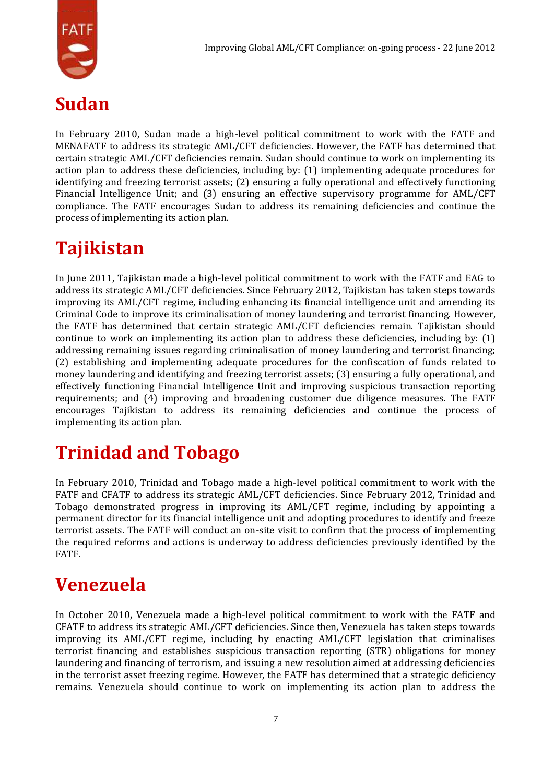

#### **Sudan**

In February 2010, Sudan made a high-level political commitment to work with the FATF and MENAFATF to address its strategic AML/CFT deficiencies. However, the FATF has determined that certain strategic AML/CFT deficiencies remain. Sudan should continue to work on implementing its action plan to address these deficiencies, including by: (1) implementing adequate procedures for identifying and freezing terrorist assets; (2) ensuring a fully operational and effectively functioning Financial Intelligence Unit; and (3) ensuring an effective supervisory programme for AML/CFT compliance. The FATF encourages Sudan to address its remaining deficiencies and continue the process of implementing its action plan.

## **Tajikistan**

In June 2011, Tajikistan made a high-level political commitment to work with the FATF and EAG to address its strategic AML/CFT deficiencies. Since February 2012, Tajikistan has taken steps towards improving its AML/CFT regime, including enhancing its financial intelligence unit and amending its Criminal Code to improve its criminalisation of money laundering and terrorist financing. However, the FATF has determined that certain strategic AML/CFT deficiencies remain. Tajikistan should continue to work on implementing its action plan to address these deficiencies, including by: (1) addressing remaining issues regarding criminalisation of money laundering and terrorist financing; (2) establishing and implementing adequate procedures for the confiscation of funds related to money laundering and identifying and freezing terrorist assets; (3) ensuring a fully operational, and effectively functioning Financial Intelligence Unit and improving suspicious transaction reporting requirements; and (4) improving and broadening customer due diligence measures. The FATF encourages Tajikistan to address its remaining deficiencies and continue the process of implementing its action plan.

## **Trinidad and Tobago**

In February 2010, Trinidad and Tobago made a high-level political commitment to work with the FATF and CFATF to address its strategic AML/CFT deficiencies. Since February 2012, Trinidad and Tobago demonstrated progress in improving its AML/CFT regime, including by appointing a permanent director for its financial intelligence unit and adopting procedures to identify and freeze terrorist assets. The FATF will conduct an on-site visit to confirm that the process of implementing the required reforms and actions is underway to address deficiencies previously identified by the FATF.

#### **Venezuela**

In October 2010, Venezuela made a high-level political commitment to work with the FATF and CFATF to address its strategic AML/CFT deficiencies. Since then, Venezuela has taken steps towards improving its AML/CFT regime, including by enacting AML/CFT legislation that criminalises terrorist financing and establishes suspicious transaction reporting (STR) obligations for money laundering and financing of terrorism, and issuing a new resolution aimed at addressing deficiencies in the terrorist asset freezing regime. However, the FATF has determined that a strategic deficiency remains. Venezuela should continue to work on implementing its action plan to address the